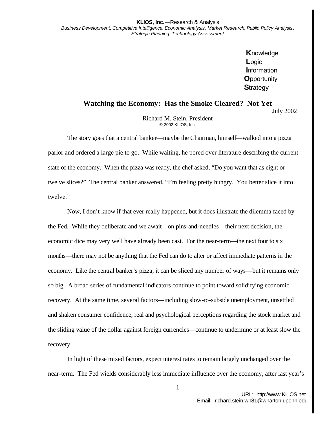**K**nowledge **L**ogic **I**nformation **O**pportunity **S**trategy

## **Watching the Economy: Has the Smoke Cleared? Not Yet**

July 2002

Richard M. Stein, President **©** 2002 KLIOS, Inc.

The story goes that a central banker—maybe the Chairman, himself—walked into a pizza parlor and ordered a large pie to go. While waiting, he pored over literature describing the current state of the economy. When the pizza was ready, the chef asked, "Do you want that as eight or twelve slices?" The central banker answered, "I'm feeling pretty hungry. You better slice it into twelve."

Now, I don't know if that ever really happened, but it does illustrate the dilemma faced by the Fed. While they deliberate and we await—on pins-and-needles—their next decision, the economic dice may very well have already been cast. For the near-term—the next four to six months—there may not be anything that the Fed can do to alter or affect immediate patterns in the economy. Like the central banker's pizza, it can be sliced any number of ways—but it remains only so big. A broad series of fundamental indicators continue to point toward solidifying economic recovery. At the same time, several factors—including slow-to-subside unemployment, unsettled and shaken consumer confidence, real and psychological perceptions regarding the stock market and the sliding value of the dollar against foreign currencies—continue to undermine or at least slow the recovery.

In light of these mixed factors, expect interest rates to remain largely unchanged over the near-term. The Fed wields considerably less immediate influence over the economy, after last year's

1